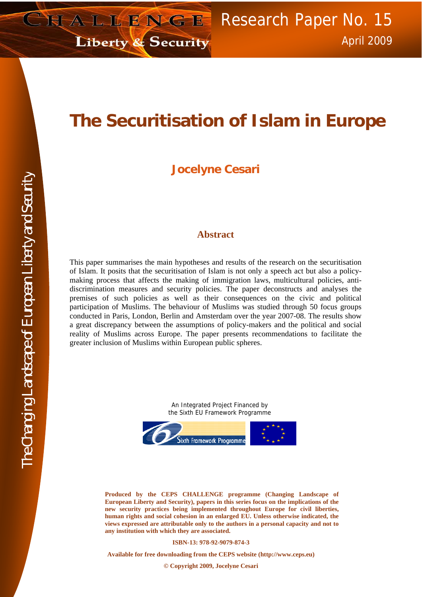# **The Securitisation of Islam in Europe**

## **Jocelyne Cesari**

### **Abstract**

This paper summarises the main hypotheses and results of the research on the securitisation of Islam. It posits that the securitisation of Islam is not only a speech act but also a policymaking process that affects the making of immigration laws, multicultural policies, antidiscrimination measures and security policies. The paper deconstructs and analyses the premises of such policies as well as their consequences on the civic and political participation of Muslims. The behaviour of Muslims was studied through 50 focus groups conducted in Paris, London, Berlin and Amsterdam over the year 2007-08. The results show a great discrepancy between the assumptions of policy-makers and the political and social reality of Muslims across Europe. The paper presents recommendations to facilitate the greater inclusion of Muslims within European public spheres.

> An Integrated Project Financed by the Sixth EU Framework Programme



**Produced by the CEPS CHALLENGE programme (Changing Landscape of European Liberty and Security), papers in this series focus on the implications of the new security practices being implemented throughout Europe for civil liberties, human rights and social cohesion in an enlarged EU. Unless otherwise indicated, the views expressed are attributable only to the authors in a personal capacity and not to any institution with which they are associated.** 

**ISBN-13: 978-92-9079-874-3** 

**Available for free downloading from the CEPS website (http://www.ceps.eu)** 

**© Copyright 2009, Jocelyne Cesari**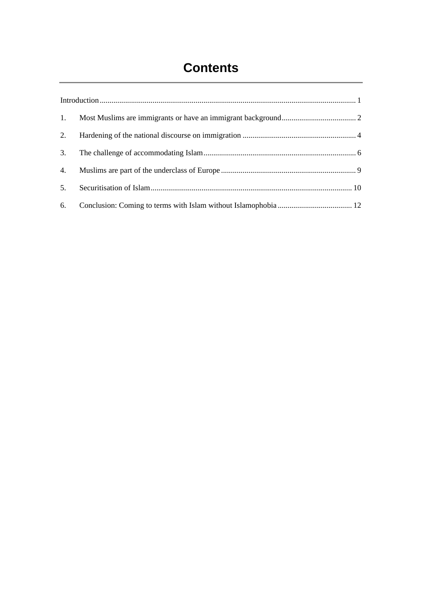## **Contents**

| 1. |  |  |
|----|--|--|
| 2. |  |  |
| 3. |  |  |
| 4. |  |  |
| 5. |  |  |
| 6. |  |  |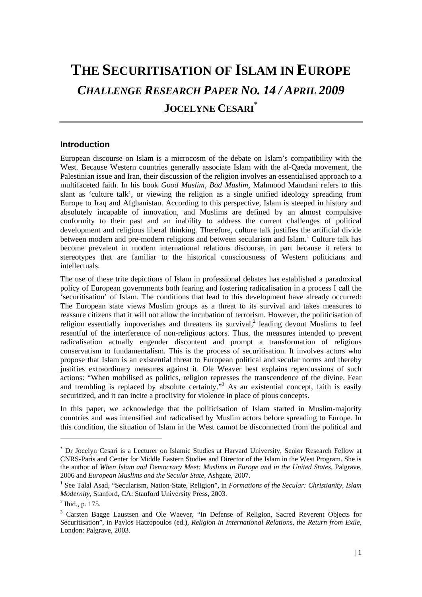# **THE SECURITISATION OF ISLAM IN EUROPE** *CHALLENGE RESEARCH PAPER NO. 14 / APRIL 2009*  **JOCELYNE CESARI \***

#### **Introduction**

European discourse on Islam is a microcosm of the debate on Islam's compatibility with the West. Because Western countries generally associate Islam with the al-Qaeda movement, the Palestinian issue and Iran, their discussion of the religion involves an essentialised approach to a multifaceted faith. In his book *Good Muslim, Bad Muslim*, Mahmood Mamdani refers to this slant as 'culture talk', or viewing the religion as a single unified ideology spreading from Europe to Iraq and Afghanistan. According to this perspective, Islam is steeped in history and absolutely incapable of innovation, and Muslims are defined by an almost compulsive conformity to their past and an inability to address the current challenges of political development and religious liberal thinking. Therefore, culture talk justifies the artificial divide between modern and pre-modern religions and between secularism and Islam.<sup>1</sup> Culture talk has become prevalent in modern international relations discourse, in part because it refers to stereotypes that are familiar to the historical consciousness of Western politicians and intellectuals.

The use of these trite depictions of Islam in professional debates has established a paradoxical policy of European governments both fearing and fostering radicalisation in a process I call the 'securitisation' of Islam. The conditions that lead to this development have already occurred: The European state views Muslim groups as a threat to its survival and takes measures to reassure citizens that it will not allow the incubation of terrorism. However, the politicisation of religion essentially impoverishes and threatens its survival, $2$  leading devout Muslims to feel resentful of the interference of non-religious actors. Thus, the measures intended to prevent radicalisation actually engender discontent and prompt a transformation of religious conservatism to fundamentalism. This is the process of securitisation. It involves actors who propose that Islam is an existential threat to European political and secular norms and thereby justifies extraordinary measures against it. Ole Weaver best explains repercussions of such actions: "When mobilised as politics, religion represses the transcendence of the divine. Fear and trembling is replaced by absolute certainty.<sup>33</sup> As an existential concept, faith is easily securitized, and it can incite a proclivity for violence in place of pious concepts.

In this paper, we acknowledge that the politicisation of Islam started in Muslim-majority countries and was intensified and radicalised by Muslim actors before spreading to Europe. In this condition, the situation of Islam in the West cannot be disconnected from the political and

<sup>\*</sup> Dr Jocelyn Cesari is a Lecturer on Islamic Studies at Harvard University, Senior Research Fellow at CNRS-Paris and Center for Middle Eastern Studies and Director of the Islam in the West Program. She is the author of *When Islam and Democracy Meet: Muslims in Europe and in the United States*, Palgrave, 2006 and *European Muslims and the Secular State*, Ashgate, 2007.

<sup>&</sup>lt;sup>1</sup> See Talal Asad, "Secularism, Nation-State, Religion", in *Formations of the Secular: Christianity, Islam Modernity, Stanford, CA: Stanford University Press, 2003.* 

 $^{2}$  Ibid., p. 175.

<sup>&</sup>lt;sup>3</sup> Carsten Bagge Laustsen and Ole Waever, "In Defense of Religion, Sacred Reverent Objects for Securitisation", in Pavlos Hatzopoulos (ed.), *Religion in International Relations, the Return from Exile*, London: Palgrave, 2003.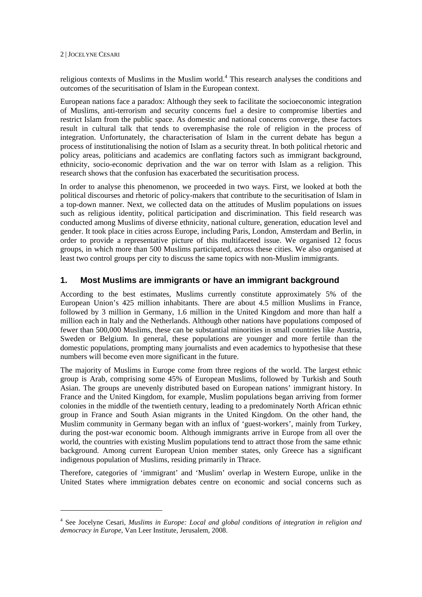<u>.</u>

religious contexts of Muslims in the Muslim world.<sup>4</sup> This research analyses the conditions and outcomes of the securitisation of Islam in the European context.

European nations face a paradox: Although they seek to facilitate the socioeconomic integration of Muslims, anti-terrorism and security concerns fuel a desire to compromise liberties and restrict Islam from the public space. As domestic and national concerns converge, these factors result in cultural talk that tends to overemphasise the role of religion in the process of integration. Unfortunately, the characterisation of Islam in the current debate has begun a process of institutionalising the notion of Islam as a security threat. In both political rhetoric and policy areas, politicians and academics are conflating factors such as immigrant background, ethnicity, socio-economic deprivation and the war on terror with Islam as a religion. This research shows that the confusion has exacerbated the securitisation process.

In order to analyse this phenomenon, we proceeded in two ways. First, we looked at both the political discourses and rhetoric of policy-makers that contribute to the securitisation of Islam in a top-down manner. Next, we collected data on the attitudes of Muslim populations on issues such as religious identity, political participation and discrimination. This field research was conducted among Muslims of diverse ethnicity, national culture, generation, education level and gender. It took place in cities across Europe, including Paris, London, Amsterdam and Berlin, in order to provide a representative picture of this multifaceted issue. We organised 12 focus groups, in which more than 500 Muslims participated, across these cities. We also organised at least two control groups per city to discuss the same topics with non-Muslim immigrants.

#### **1. Most Muslims are immigrants or have an immigrant background**

According to the best estimates, Muslims currently constitute approximately 5% of the European Union's 425 million inhabitants. There are about 4.5 million Muslims in France, followed by 3 million in Germany, 1.6 million in the United Kingdom and more than half a million each in Italy and the Netherlands. Although other nations have populations composed of fewer than 500,000 Muslims, these can be substantial minorities in small countries like Austria, Sweden or Belgium. In general, these populations are younger and more fertile than the domestic populations, prompting many journalists and even academics to hypothesise that these numbers will become even more significant in the future.

The majority of Muslims in Europe come from three regions of the world. The largest ethnic group is Arab, comprising some 45% of European Muslims, followed by Turkish and South Asian. The groups are unevenly distributed based on European nations' immigrant history. In France and the United Kingdom, for example, Muslim populations began arriving from former colonies in the middle of the twentieth century, leading to a predominately North African ethnic group in France and South Asian migrants in the United Kingdom. On the other hand, the Muslim community in Germany began with an influx of 'guest-workers', mainly from Turkey, during the post-war economic boom. Although immigrants arrive in Europe from all over the world, the countries with existing Muslim populations tend to attract those from the same ethnic background. Among current European Union member states, only Greece has a significant indigenous population of Muslims, residing primarily in Thrace.

Therefore, categories of 'immigrant' and 'Muslim' overlap in Western Europe, unlike in the United States where immigration debates centre on economic and social concerns such as

<sup>4</sup> See Jocelyne Cesari, *Muslims in Europe: Local and global conditions of integration in religion and democracy in Europe*, Van Leer Institute, Jerusalem, 2008.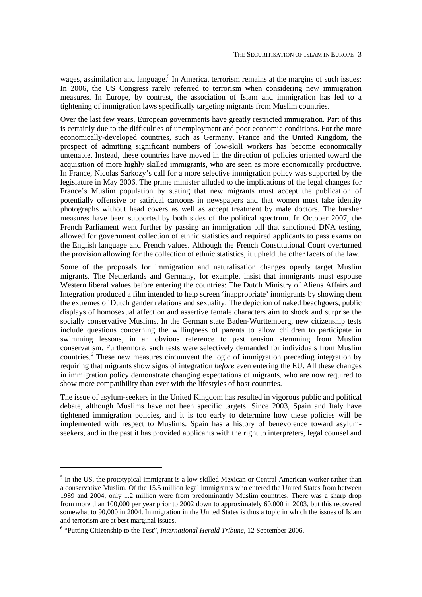wages, assimilation and language.<sup>5</sup> In America, terrorism remains at the margins of such issues: In 2006, the US Congress rarely referred to terrorism when considering new immigration measures. In Europe, by contrast, the association of Islam and immigration has led to a tightening of immigration laws specifically targeting migrants from Muslim countries.

Over the last few years, European governments have greatly restricted immigration. Part of this is certainly due to the difficulties of unemployment and poor economic conditions. For the more economically-developed countries, such as Germany, France and the United Kingdom, the prospect of admitting significant numbers of low-skill workers has become economically untenable. Instead, these countries have moved in the direction of policies oriented toward the acquisition of more highly skilled immigrants, who are seen as more economically productive. In France, Nicolas Sarkozy's call for a more selective immigration policy was supported by the legislature in May 2006. The prime minister alluded to the implications of the legal changes for France's Muslim population by stating that new migrants must accept the publication of potentially offensive or satirical cartoons in newspapers and that women must take identity photographs without head covers as well as accept treatment by male doctors. The harsher measures have been supported by both sides of the political spectrum. In October 2007, the French Parliament went further by passing an immigration bill that sanctioned DNA testing, allowed for government collection of ethnic statistics and required applicants to pass exams on the English language and French values. Although the French Constitutional Court overturned the provision allowing for the collection of ethnic statistics, it upheld the other facets of the law.

Some of the proposals for immigration and naturalisation changes openly target Muslim migrants. The Netherlands and Germany, for example, insist that immigrants must espouse Western liberal values before entering the countries: The Dutch Ministry of Aliens Affairs and Integration produced a film intended to help screen 'inappropriate' immigrants by showing them the extremes of Dutch gender relations and sexuality: The depiction of naked beachgoers, public displays of homosexual affection and assertive female characters aim to shock and surprise the socially conservative Muslims. In the German state Baden-Wurttemberg, new citizenship tests include questions concerning the willingness of parents to allow children to participate in swimming lessons, in an obvious reference to past tension stemming from Muslim conservatism. Furthermore, such tests were selectively demanded for individuals from Muslim countries.<sup>6</sup> These new measures circumvent the logic of immigration preceding integration by requiring that migrants show signs of integration *before* even entering the EU. All these changes in immigration policy demonstrate changing expectations of migrants, who are now required to show more compatibility than ever with the lifestyles of host countries.

The issue of asylum-seekers in the United Kingdom has resulted in vigorous public and political debate, although Muslims have not been specific targets. Since 2003, Spain and Italy have tightened immigration policies, and it is too early to determine how these policies will be implemented with respect to Muslims. Spain has a history of benevolence toward asylumseekers, and in the past it has provided applicants with the right to interpreters, legal counsel and

<sup>&</sup>lt;sup>5</sup> In the US, the prototypical immigrant is a low-skilled Mexican or Central American worker rather than a conservative Muslim. Of the 15.5 million legal immigrants who entered the United States from between 1989 and 2004, only 1.2 million were from predominantly Muslim countries. There was a sharp drop from more than 100,000 per year prior to 2002 down to approximately 60,000 in 2003, but this recovered somewhat to 90,000 in 2004. Immigration in the United States is thus a topic in which the issues of Islam and terrorism are at best marginal issues.

<sup>&</sup>lt;sup>6</sup> "Putting Citizenship to the Test", *International Herald Tribune*, 12 September 2006.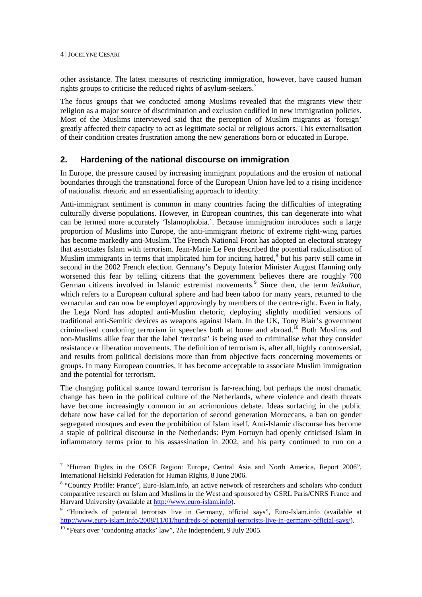1

other assistance. The latest measures of restricting immigration, however, have caused human rights groups to criticise the reduced rights of asylum-seekers.<sup>7</sup>

The focus groups that we conducted among Muslims revealed that the migrants view their religion as a major source of discrimination and exclusion codified in new immigration policies. Most of the Muslims interviewed said that the perception of Muslim migrants as 'foreign' greatly affected their capacity to act as legitimate social or religious actors. This externalisation of their condition creates frustration among the new generations born or educated in Europe.

#### **2. Hardening of the national discourse on immigration**

In Europe, the pressure caused by increasing immigrant populations and the erosion of national boundaries through the transnational force of the European Union have led to a rising incidence of nationalist rhetoric and an essentialising approach to identity.

Anti-immigrant sentiment is common in many countries facing the difficulties of integrating culturally diverse populations. However, in European countries, this can degenerate into what can be termed more accurately 'Islamophobia.'. Because immigration introduces such a large proportion of Muslims into Europe, the anti-immigrant rhetoric of extreme right-wing parties has become markedly anti-Muslim. The French National Front has adopted an electoral strategy that associates Islam with terrorism. Jean-Marie Le Pen described the potential radicalisation of Muslim immigrants in terms that implicated him for inciting hatred, $\delta$  but his party still came in second in the 2002 French election. Germany's Deputy Interior Minister August Hanning only worsened this fear by telling citizens that the government believes there are roughly 700 German citizens involved in Islamic extremist movements.<sup>9</sup> Since then, the term *leitkultur*, which refers to a European cultural sphere and had been taboo for many years, returned to the vernacular and can now be employed approvingly by members of the centre-right. Even in Italy, the Lega Nord has adopted anti-Muslim rhetoric, deploying slightly modified versions of traditional anti-Semitic devices as weapons against Islam. In the UK, Tony Blair's government criminalised condoning terrorism in speeches both at home and abroad.<sup>10</sup> Both Muslims and non-Muslims alike fear that the label 'terrorist' is being used to criminalise what they consider resistance or liberation movements. The definition of terrorism is, after all, highly controversial, and results from political decisions more than from objective facts concerning movements or groups. In many European countries, it has become acceptable to associate Muslim immigration and the potential for terrorism.

The changing political stance toward terrorism is far-reaching, but perhaps the most dramatic change has been in the political culture of the Netherlands, where violence and death threats have become increasingly common in an acrimonious debate. Ideas surfacing in the public debate now have called for the deportation of second generation Moroccans, a ban on gender segregated mosques and even the prohibition of Islam itself. Anti-Islamic discourse has become a staple of political discourse in the Netherlands: Pym Fortuyn had openly criticised Islam in inflammatory terms prior to his assassination in 2002, and his party continued to run on a

<sup>&</sup>lt;sup>7</sup> "Human Rights in the OSCE Region: Europe, Central Asia and North America, Report 2006", International Helsinki Federation for Human Rights, 8 June 2006.

<sup>&</sup>lt;sup>8</sup> "Country Profile: France", Euro-Islam.info, an active network of researchers and scholars who conduct comparative research on Islam and Muslims in the West and sponsored by GSRL Paris/CNRS France and Harvard University (available at http://www.euro-islam.info). 9

<sup>&</sup>lt;sup>9</sup> "Hundreds of potential terrorists live in Germany, official says", Euro-Islam.info (available at http://www.euro-islam.info/2008/11/01/hundreds-of-potential-terrorists-live-in-germany-official-says/). 10 "Fears over 'condoning attacks' law", *The* Independent, 9 July 2005.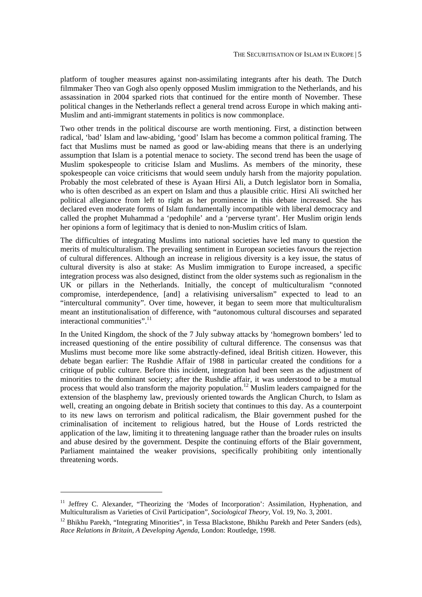platform of tougher measures against non-assimilating integrants after his death. The Dutch filmmaker Theo van Gogh also openly opposed Muslim immigration to the Netherlands, and his assassination in 2004 sparked riots that continued for the entire month of November. These political changes in the Netherlands reflect a general trend across Europe in which making anti-Muslim and anti-immigrant statements in politics is now commonplace.

Two other trends in the political discourse are worth mentioning. First, a distinction between radical, 'bad' Islam and law-abiding, 'good' Islam has become a common political framing. The fact that Muslims must be named as good or law-abiding means that there is an underlying assumption that Islam is a potential menace to society. The second trend has been the usage of Muslim spokespeople to criticise Islam and Muslims. As members of the minority, these spokespeople can voice criticisms that would seem unduly harsh from the majority population. Probably the most celebrated of these is Ayaan Hirsi Ali, a Dutch legislator born in Somalia, who is often described as an expert on Islam and thus a plausible critic. Hirsi Ali switched her political allegiance from left to right as her prominence in this debate increased. She has declared even moderate forms of Islam fundamentally incompatible with liberal democracy and called the prophet Muhammad a 'pedophile' and a 'perverse tyrant'. Her Muslim origin lends her opinions a form of legitimacy that is denied to non-Muslim critics of Islam.

The difficulties of integrating Muslims into national societies have led many to question the merits of multiculturalism. The prevailing sentiment in European societies favours the rejection of cultural differences. Although an increase in religious diversity is a key issue, the status of cultural diversity is also at stake: As Muslim immigration to Europe increased, a specific integration process was also designed, distinct from the older systems such as regionalism in the UK or pillars in the Netherlands. Initially, the concept of multiculturalism "connoted compromise, interdependence, [and] a relativising universalism" expected to lead to an "intercultural community". Over time, however, it began to seem more that multiculturalism meant an institutionalisation of difference, with "autonomous cultural discourses and separated interactional communities".<sup>11</sup>

In the United Kingdom, the shock of the 7 July subway attacks by 'homegrown bombers' led to increased questioning of the entire possibility of cultural difference. The consensus was that Muslims must become more like some abstractly-defined, ideal British citizen. However, this debate began earlier: The Rushdie Affair of 1988 in particular created the conditions for a critique of public culture. Before this incident, integration had been seen as the adjustment of minorities to the dominant society; after the Rushdie affair, it was understood to be a mutual process that would also transform the majority population.<sup>12</sup> Muslim leaders campaigned for the extension of the blasphemy law, previously oriented towards the Anglican Church, to Islam as well, creating an ongoing debate in British society that continues to this day. As a counterpoint to its new laws on terrorism and political radicalism, the Blair government pushed for the criminalisation of incitement to religious hatred, but the House of Lords restricted the application of the law, limiting it to threatening language rather than the broader rules on insults and abuse desired by the government. Despite the continuing efforts of the Blair government, Parliament maintained the weaker provisions, specifically prohibiting only intentionally threatening words.

<sup>&</sup>lt;sup>11</sup> Jeffrey C. Alexander, "Theorizing the 'Modes of Incorporation': Assimilation, Hyphenation, and Multiculturalism as Varieties of Civil Participation", *Sociological Theory,* Vol. 19, No. 3, 2001.

<sup>&</sup>lt;sup>12</sup> Bhikhu Parekh, "Integrating Minorities", in Tessa Blackstone, Bhikhu Parekh and Peter Sanders (eds), *Race Relations in Britain, A Developing Agenda*, London: Routledge, 1998.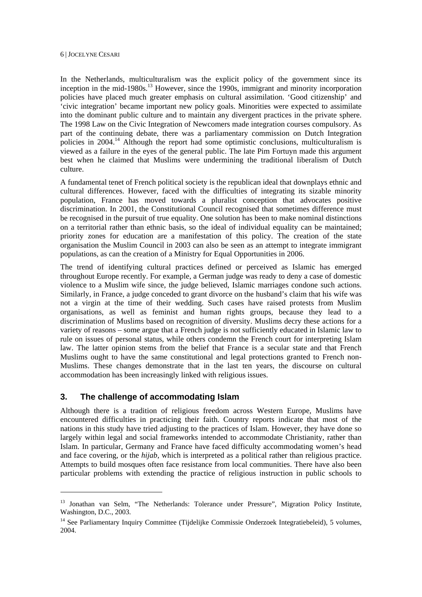In the Netherlands, multiculturalism was the explicit policy of the government since its inception in the mid-1980s.<sup>13</sup> However, since the 1990s, immigrant and minority incorporation policies have placed much greater emphasis on cultural assimilation. 'Good citizenship' and 'civic integration' became important new policy goals. Minorities were expected to assimilate into the dominant public culture and to maintain any divergent practices in the private sphere. The 1998 Law on the Civic Integration of Newcomers made integration courses compulsory. As part of the continuing debate, there was a parliamentary commission on Dutch Integration policies in 2004.14 Although the report had some optimistic conclusions, multiculturalism is viewed as a failure in the eyes of the general public. The late Pim Fortuyn made this argument best when he claimed that Muslims were undermining the traditional liberalism of Dutch culture.

A fundamental tenet of French political society is the republican ideal that downplays ethnic and cultural differences. However, faced with the difficulties of integrating its sizable minority population, France has moved towards a pluralist conception that advocates positive discrimination. In 2001, the Constitutional Council recognised that sometimes difference must be recognised in the pursuit of true equality. One solution has been to make nominal distinctions on a territorial rather than ethnic basis, so the ideal of individual equality can be maintained; priority zones for education are a manifestation of this policy. The creation of the state organisation the Muslim Council in 2003 can also be seen as an attempt to integrate immigrant populations, as can the creation of a Ministry for Equal Opportunities in 2006.

The trend of identifying cultural practices defined or perceived as Islamic has emerged throughout Europe recently. For example, a German judge was ready to deny a case of domestic violence to a Muslim wife since, the judge believed, Islamic marriages condone such actions. Similarly, in France, a judge conceded to grant divorce on the husband's claim that his wife was not a virgin at the time of their wedding. Such cases have raised protests from Muslim organisations, as well as feminist and human rights groups, because they lead to a discrimination of Muslims based on recognition of diversity. Muslims decry these actions for a variety of reasons – some argue that a French judge is not sufficiently educated in Islamic law to rule on issues of personal status, while others condemn the French court for interpreting Islam law. The latter opinion stems from the belief that France is a secular state and that French Muslims ought to have the same constitutional and legal protections granted to French non-Muslims. These changes demonstrate that in the last ten years, the discourse on cultural accommodation has been increasingly linked with religious issues.

### **3. The challenge of accommodating Islam**

1

Although there is a tradition of religious freedom across Western Europe, Muslims have encountered difficulties in practicing their faith. Country reports indicate that most of the nations in this study have tried adjusting to the practices of Islam. However, they have done so largely within legal and social frameworks intended to accommodate Christianity, rather than Islam. In particular, Germany and France have faced difficulty accommodating women's head and face covering, or the *hijab*, which is interpreted as a political rather than religious practice. Attempts to build mosques often face resistance from local communities. There have also been particular problems with extending the practice of religious instruction in public schools to

<sup>&</sup>lt;sup>13</sup> Jonathan van Selm. "The Netherlands: Tolerance under Pressure", Migration Policy Institute, Washington, D.C., 2003.

<sup>&</sup>lt;sup>14</sup> See Parliamentary Inquiry Committee (Tijdelijke Commissie Onderzoek Integratiebeleid), 5 volumes, 2004.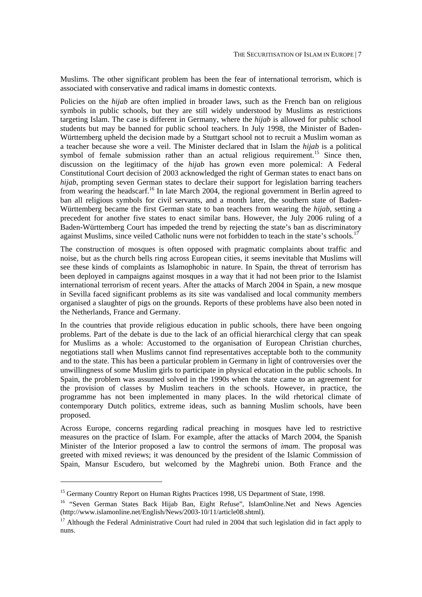Muslims. The other significant problem has been the fear of international terrorism, which is associated with conservative and radical imams in domestic contexts.

Policies on the *hijab* are often implied in broader laws, such as the French ban on religious symbols in public schools, but they are still widely understood by Muslims as restrictions targeting Islam. The case is different in Germany, where the *hijab* is allowed for public school students but may be banned for public school teachers. In July 1998, the Minister of Baden-Württemberg upheld the decision made by a Stuttgart school not to recruit a Muslim woman as a teacher because she wore a veil. The Minister declared that in Islam the *hijab* is a political symbol of female submission rather than an actual religious requirement.<sup>15</sup> Since then, discussion on the legitimacy of the *hijab* has grown even more polemical: A Federal Constitutional Court decision of 2003 acknowledged the right of German states to enact bans on *hijab*, prompting seven German states to declare their support for legislation barring teachers from wearing the headscarf.<sup>16</sup> In late March 2004, the regional government in Berlin agreed to ban all religious symbols for civil servants, and a month later, the southern state of Baden**-**Württemberg became the first German state to ban teachers from wearing the *hijab*, setting a precedent for another five states to enact similar bans. However, the July 2006 ruling of a Baden**-**Württemberg Court has impeded the trend by rejecting the state's ban as discriminatory against Muslims, since veiled Catholic nuns were not forbidden to teach in the state's schools. $<sup>1</sup>$ </sup>

The construction of mosques is often opposed with pragmatic complaints about traffic and noise, but as the church bells ring across European cities, it seems inevitable that Muslims will see these kinds of complaints as Islamophobic in nature. In Spain, the threat of terrorism has been deployed in campaigns against mosques in a way that it had not been prior to the Islamist international terrorism of recent years. After the attacks of March 2004 in Spain, a new mosque in Sevilla faced significant problems as its site was vandalised and local community members organised a slaughter of pigs on the grounds. Reports of these problems have also been noted in the Netherlands, France and Germany.

In the countries that provide religious education in public schools, there have been ongoing problems. Part of the debate is due to the lack of an official hierarchical clergy that can speak for Muslims as a whole: Accustomed to the organisation of European Christian churches, negotiations stall when Muslims cannot find representatives acceptable both to the community and to the state. This has been a particular problem in Germany in light of controversies over the unwillingness of some Muslim girls to participate in physical education in the public schools. In Spain, the problem was assumed solved in the 1990s when the state came to an agreement for the provision of classes by Muslim teachers in the schools. However, in practice, the programme has not been implemented in many places. In the wild rhetorical climate of contemporary Dutch politics, extreme ideas, such as banning Muslim schools, have been proposed.

Across Europe, concerns regarding radical preaching in mosques have led to restrictive measures on the practice of Islam. For example, after the attacks of March 2004, the Spanish Minister of the Interior proposed a law to control the sermons of *imam*. The proposal was greeted with mixed reviews; it was denounced by the president of the Islamic Commission of Spain, Mansur Escudero, but welcomed by the Maghrebi union. Both France and the

<sup>&</sup>lt;sup>15</sup> Germany Country Report on Human Rights Practices 1998, US Department of State, 1998.

<sup>&</sup>lt;sup>16</sup> "Seven German States Back Hijab Ban, Eight Refuse", IslamOnline.Net and News Agencies (http://www.islamonline.net/English/News/2003-10/11/article08.shtml).

 $17$  Although the Federal Administrative Court had ruled in 2004 that such legislation did in fact apply to nuns.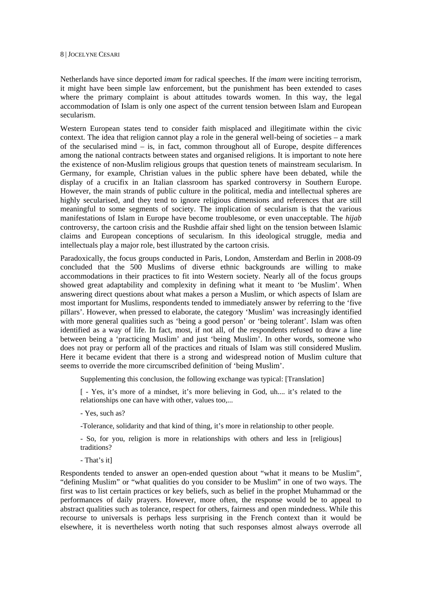#### 8 | JOCELYNE CESARI

Netherlands have since deported *imam* for radical speeches. If the *imam* were inciting terrorism, it might have been simple law enforcement, but the punishment has been extended to cases where the primary complaint is about attitudes towards women. In this way, the legal accommodation of Islam is only one aspect of the current tension between Islam and European secularism.

Western European states tend to consider faith misplaced and illegitimate within the civic context. The idea that religion cannot play a role in the general well-being of societies – a mark of the secularised mind  $-$  is, in fact, common throughout all of Europe, despite differences among the national contracts between states and organised religions. It is important to note here the existence of non-Muslim religious groups that question tenets of mainstream secularism. In Germany, for example, Christian values in the public sphere have been debated, while the display of a crucifix in an Italian classroom has sparked controversy in Southern Europe. However, the main strands of public culture in the political, media and intellectual spheres are highly secularised, and they tend to ignore religious dimensions and references that are still meaningful to some segments of society. The implication of secularism is that the various manifestations of Islam in Europe have become troublesome, or even unacceptable. The *hijab* controversy, the cartoon crisis and the Rushdie affair shed light on the tension between Islamic claims and European conceptions of secularism. In this ideological struggle, media and intellectuals play a major role, best illustrated by the cartoon crisis.

Paradoxically, the focus groups conducted in Paris, London, Amsterdam and Berlin in 2008-09 concluded that the 500 Muslims of diverse ethnic backgrounds are willing to make accommodations in their practices to fit into Western society. Nearly all of the focus groups showed great adaptability and complexity in defining what it meant to 'be Muslim'. When answering direct questions about what makes a person a Muslim, or which aspects of Islam are most important for Muslims, respondents tended to immediately answer by referring to the 'five pillars'. However, when pressed to elaborate, the category 'Muslim' was increasingly identified with more general qualities such as 'being a good person' or 'being tolerant'. Islam was often identified as a way of life. In fact, most, if not all, of the respondents refused to draw a line between being a 'practicing Muslim' and just 'being Muslim'. In other words, someone who does not pray or perform all of the practices and rituals of Islam was still considered Muslim. Here it became evident that there is a strong and widespread notion of Muslim culture that seems to override the more circumscribed definition of 'being Muslim'.

Supplementing this conclusion, the following exchange was typical: [Translation]

[ - Yes, it's more of a mindset, it's more believing in God, uh.... it's related to the relationships one can have with other, values too,...

- Yes, such as?

-Tolerance, solidarity and that kind of thing, it's more in relationship to other people.

- So, for you, religion is more in relationships with others and less in [religious] traditions?

- That's it]

Respondents tended to answer an open-ended question about "what it means to be Muslim", "defining Muslim" or "what qualities do you consider to be Muslim" in one of two ways. The first was to list certain practices or key beliefs, such as belief in the prophet Muhammad or the performances of daily prayers. However, more often, the response would be to appeal to abstract qualities such as tolerance, respect for others, fairness and open mindedness. While this recourse to universals is perhaps less surprising in the French context than it would be elsewhere, it is nevertheless worth noting that such responses almost always overrode all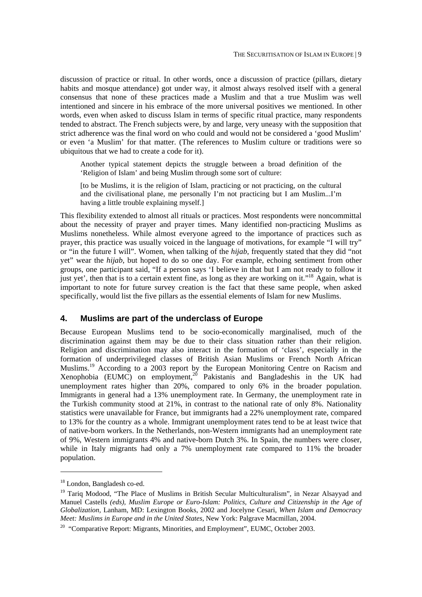discussion of practice or ritual. In other words, once a discussion of practice (pillars, dietary habits and mosque attendance) got under way, it almost always resolved itself with a general consensus that none of these practices made a Muslim and that a true Muslim was well intentioned and sincere in his embrace of the more universal positives we mentioned. In other words, even when asked to discuss Islam in terms of specific ritual practice, many respondents tended to abstract. The French subjects were, by and large, very uneasy with the supposition that strict adherence was the final word on who could and would not be considered a 'good Muslim' or even 'a Muslim' for that matter. (The references to Muslim culture or traditions were so ubiquitous that we had to create a code for it).

Another typical statement depicts the struggle between a broad definition of the 'Religion of Islam' and being Muslim through some sort of culture:

[to be Muslims, it is the religion of Islam, practicing or not practicing, on the cultural and the civilisational plane, me personally I'm not practicing but I am Muslim...I'm having a little trouble explaining myself.]

This flexibility extended to almost all rituals or practices. Most respondents were noncommittal about the necessity of prayer and prayer times. Many identified non-practicing Muslims as Muslims nonetheless. While almost everyone agreed to the importance of practices such as prayer, this practice was usually voiced in the language of motivations, for example "I will try" or "in the future I will". Women, when talking of the *hijab*, frequently stated that they did "not yet" wear the *hijab*, but hoped to do so one day. For example, echoing sentiment from other groups, one participant said, "If a person says 'I believe in that but I am not ready to follow it just yet', then that is to a certain extent fine, as long as they are working on it."18 Again, what is important to note for future survey creation is the fact that these same people, when asked specifically, would list the five pillars as the essential elements of Islam for new Muslims.

#### **4. Muslims are part of the underclass of Europe**

Because European Muslims tend to be socio-economically marginalised, much of the discrimination against them may be due to their class situation rather than their religion. Religion and discrimination may also interact in the formation of 'class', especially in the formation of underprivileged classes of British Asian Muslims or French North African Muslims.<sup>19</sup> According to a 2003 report by the European Monitoring Centre on Racism and Xenophobia (EUMC) on employment,<sup>20</sup> Pakistanis and Bangladeshis in the UK had unemployment rates higher than 20%, compared to only 6% in the broader population. Immigrants in general had a 13% unemployment rate. In Germany, the unemployment rate in the Turkish community stood at 21%, in contrast to the national rate of only 8%. Nationality statistics were unavailable for France, but immigrants had a 22% unemployment rate, compared to 13% for the country as a whole. Immigrant unemployment rates tend to be at least twice that of native-born workers. In the Netherlands, non-Western immigrants had an unemployment rate of 9%, Western immigrants 4% and native-born Dutch 3%. In Spain, the numbers were closer, while in Italy migrants had only a 7% unemployment rate compared to 11% the broader population.

<sup>18</sup> London, Bangladesh co-ed.

<sup>&</sup>lt;sup>19</sup> Tariq Modood, "The Place of Muslims in British Secular Multiculturalism", in Nezar Alsayyad and Manuel Castells *(eds), Muslim Europe or Euro-Islam: Politics, Culture and Citizenship in the Age of Globalization,* Lanham, MD: Lexington Books, 2002 and Jocelyne Cesari, *When Islam and Democracy Meet: Muslims in Europe and in the United States*, New York: Palgrave Macmillan, 2004.

 $20$  "Comparative Report: Migrants, Minorities, and Employment", EUMC, October 2003.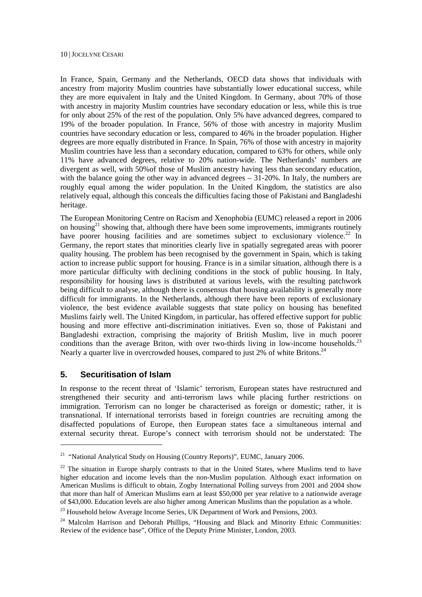In France, Spain, Germany and the Netherlands, OECD data shows that individuals with ancestry from majority Muslim countries have substantially lower educational success, while they are more equivalent in Italy and the United Kingdom. In Germany, about 70% of those with ancestry in majority Muslim countries have secondary education or less, while this is true for only about 25% of the rest of the population. Only 5% have advanced degrees, compared to 19% of the broader population. In France, 56% of those with ancestry in majority Muslim countries have secondary education or less, compared to 46% in the broader population. Higher degrees are more equally distributed in France. In Spain, 76% of those with ancestry in majority Muslim countries have less than a secondary education, compared to 63% for others, while only 11% have advanced degrees, relative to 20% nation-wide. The Netherlands' numbers are divergent as well, with 50%of those of Muslim ancestry having less than secondary education, with the balance going the other way in advanced degrees – 31-20%. In Italy, the numbers are roughly equal among the wider population. In the United Kingdom, the statistics are also relatively equal, although this conceals the difficulties facing those of Pakistani and Bangladeshi heritage.

The European Monitoring Centre on Racism and Xenophobia (EUMC) released a report in 2006 on housing<sup>21</sup> showing that, although there have been some improvements, immigrants routinely have poorer housing facilities and are sometimes subject to exclusionary violence.<sup>22</sup> In Germany, the report states that minorities clearly live in spatially segregated areas with poorer quality housing. The problem has been recognised by the government in Spain, which is taking action to increase public support for housing. France is in a similar situation, although there is a more particular difficulty with declining conditions in the stock of public housing. In Italy, responsibility for housing laws is distributed at various levels, with the resulting patchwork being difficult to analyse, although there is consensus that housing availability is generally more difficult for immigrants. In the Netherlands, although there have been reports of exclusionary violence, the best evidence available suggests that state policy on housing has benefited Muslims fairly well. The United Kingdom, in particular, has offered effective support for public housing and more effective anti-discrimination initiatives. Even so, those of Pakistani and Bangladeshi extraction, comprising the majority of British Muslim, live in much poorer conditions than the average Briton, with over two-thirds living in low-income households.<sup>23</sup> Nearly a quarter live in overcrowded houses, compared to just  $2\%$  of white Britons.<sup>24</sup>

### **5. Securitisation of Islam**

-

In response to the recent threat of 'Islamic' terrorism, European states have restructured and strengthened their security and anti-terrorism laws while placing further restrictions on immigration. Terrorism can no longer be characterised as foreign or domestic; rather, it is transnational. If international terrorists based in foreign countries are recruiting among the disaffected populations of Europe, then European states face a simultaneous internal and external security threat. Europe's connect with terrorism should not be understated: The

<sup>&</sup>lt;sup>21</sup> "National Analytical Study on Housing (Country Reports)", EUMC, January 2006.

 $22$  The situation in Europe sharply contrasts to that in the United States, where Muslims tend to have higher education and income levels than the non-Muslim population. Although exact information on American Muslims is difficult to obtain, Zogby International Polling surveys from 2001 and 2004 show that more than half of American Muslims earn at least \$50,000 per year relative to a nationwide average of \$43,000. Education levels are also higher among American Muslims than the population as a whole.

<sup>&</sup>lt;sup>23</sup> Household below Average Income Series, UK Department of Work and Pensions, 2003.

<sup>&</sup>lt;sup>24</sup> Malcolm Harrison and Deborah Phillips, "Housing and Black and Minority Ethnic Communities: Review of the evidence base", Office of the Deputy Prime Minister, London, 2003.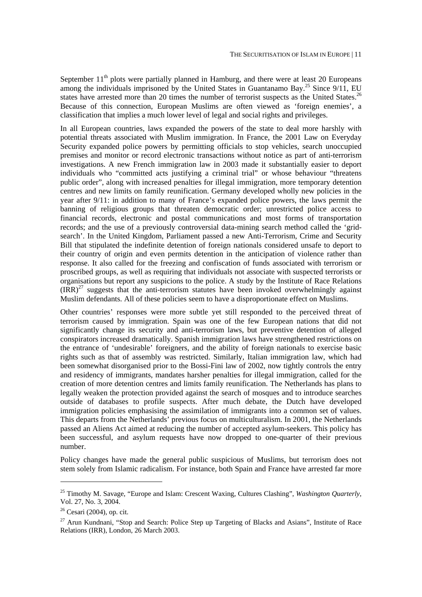September  $11<sup>th</sup>$  plots were partially planned in Hamburg, and there were at least 20 Europeans among the individuals imprisoned by the United States in Guantanamo Bay.<sup>25</sup> Since  $9/11$ , EU states have arrested more than 20 times the number of terrorist suspects as the United States.<sup>26</sup> Because of this connection, European Muslims are often viewed as 'foreign enemies', a classification that implies a much lower level of legal and social rights and privileges.

In all European countries, laws expanded the powers of the state to deal more harshly with potential threats associated with Muslim immigration. In France, the 2001 Law on Everyday Security expanded police powers by permitting officials to stop vehicles, search unoccupied premises and monitor or record electronic transactions without notice as part of anti-terrorism investigations. A new French immigration law in 2003 made it substantially easier to deport individuals who "committed acts justifying a criminal trial" or whose behaviour "threatens public order", along with increased penalties for illegal immigration, more temporary detention centres and new limits on family reunification. Germany developed wholly new policies in the year after 9/11: in addition to many of France's expanded police powers, the laws permit the banning of religious groups that threaten democratic order; unrestricted police access to financial records, electronic and postal communications and most forms of transportation records; and the use of a previously controversial data-mining search method called the 'gridsearch'. In the United Kingdom, Parliament passed a new Anti-Terrorism, Crime and Security Bill that stipulated the indefinite detention of foreign nationals considered unsafe to deport to their country of origin and even permits detention in the anticipation of violence rather than response. It also called for the freezing and confiscation of funds associated with terrorism or proscribed groups, as well as requiring that individuals not associate with suspected terrorists or organisations but report any suspicions to the police. A study by the Institute of Race Relations  $\overline{(IRR)}^{27}$  suggests that the anti-terrorism statutes have been invoked overwhelmingly against Muslim defendants. All of these policies seem to have a disproportionate effect on Muslims.

Other countries' responses were more subtle yet still responded to the perceived threat of terrorism caused by immigration. Spain was one of the few European nations that did not significantly change its security and anti-terrorism laws, but preventive detention of alleged conspirators increased dramatically. Spanish immigration laws have strengthened restrictions on the entrance of 'undesirable' foreigners, and the ability of foreign nationals to exercise basic rights such as that of assembly was restricted. Similarly, Italian immigration law, which had been somewhat disorganised prior to the Bossi-Fini law of 2002, now tightly controls the entry and residency of immigrants, mandates harsher penalties for illegal immigration, called for the creation of more detention centres and limits family reunification. The Netherlands has plans to legally weaken the protection provided against the search of mosques and to introduce searches outside of databases to profile suspects. After much debate, the Dutch have developed immigration policies emphasising the assimilation of immigrants into a common set of values. This departs from the Netherlands' previous focus on multiculturalism. In 2001, the Netherlands passed an Aliens Act aimed at reducing the number of accepted asylum-seekers. This policy has been successful, and asylum requests have now dropped to one-quarter of their previous number.

Policy changes have made the general public suspicious of Muslims, but terrorism does not stem solely from Islamic radicalism. For instance, both Spain and France have arrested far more

<sup>25</sup> Timothy M. Savage, "Europe and Islam: Crescent Waxing, Cultures Clashing", *Washington Quarterly*, Vol. 27, No. 3, 2004.

 $26$  Cesari (2004), op. cit.

 $27$  Arun Kundnani, "Stop and Search: Police Step up Targeting of Blacks and Asians", Institute of Race Relations (IRR), London, 26 March 2003.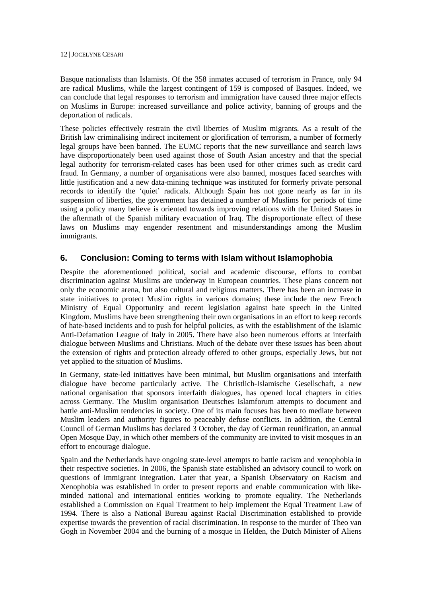Basque nationalists than Islamists. Of the 358 inmates accused of terrorism in France, only 94 are radical Muslims, while the largest contingent of 159 is composed of Basques. Indeed, we can conclude that legal responses to terrorism and immigration have caused three major effects on Muslims in Europe: increased surveillance and police activity, banning of groups and the deportation of radicals.

These policies effectively restrain the civil liberties of Muslim migrants. As a result of the British law criminalising indirect incitement or glorification of terrorism, a number of formerly legal groups have been banned. The EUMC reports that the new surveillance and search laws have disproportionately been used against those of South Asian ancestry and that the special legal authority for terrorism-related cases has been used for other crimes such as credit card fraud. In Germany, a number of organisations were also banned, mosques faced searches with little justification and a new data-mining technique was instituted for formerly private personal records to identify the 'quiet' radicals. Although Spain has not gone nearly as far in its suspension of liberties, the government has detained a number of Muslims for periods of time using a policy many believe is oriented towards improving relations with the United States in the aftermath of the Spanish military evacuation of Iraq. The disproportionate effect of these laws on Muslims may engender resentment and misunderstandings among the Muslim immigrants.

### **6. Conclusion: Coming to terms with Islam without Islamophobia**

Despite the aforementioned political, social and academic discourse, efforts to combat discrimination against Muslims are underway in European countries. These plans concern not only the economic arena, but also cultural and religious matters. There has been an increase in state initiatives to protect Muslim rights in various domains; these include the new French Ministry of Equal Opportunity and recent legislation against hate speech in the United Kingdom. Muslims have been strengthening their own organisations in an effort to keep records of hate-based incidents and to push for helpful policies, as with the establishment of the Islamic Anti-Defamation League of Italy in 2005. There have also been numerous efforts at interfaith dialogue between Muslims and Christians. Much of the debate over these issues has been about the extension of rights and protection already offered to other groups, especially Jews, but not yet applied to the situation of Muslims.

In Germany, state-led initiatives have been minimal, but Muslim organisations and interfaith dialogue have become particularly active. The Christlich-Islamische Gesellschaft, a new national organisation that sponsors interfaith dialogues, has opened local chapters in cities across Germany. The Muslim organisation Deutsches Islamforum attempts to document and battle anti-Muslim tendencies in society. One of its main focuses has been to mediate between Muslim leaders and authority figures to peaceably defuse conflicts. In addition, the Central Council of German Muslims has declared 3 October, the day of German reunification, an annual Open Mosque Day, in which other members of the community are invited to visit mosques in an effort to encourage dialogue.

Spain and the Netherlands have ongoing state-level attempts to battle racism and xenophobia in their respective societies. In 2006, the Spanish state established an advisory council to work on questions of immigrant integration. Later that year, a Spanish Observatory on Racism and Xenophobia was established in order to present reports and enable communication with likeminded national and international entities working to promote equality. The Netherlands established a Commission on Equal Treatment to help implement the Equal Treatment Law of 1994. There is also a National Bureau against Racial Discrimination established to provide expertise towards the prevention of racial discrimination. In response to the murder of Theo van Gogh in November 2004 and the burning of a mosque in Helden, the Dutch Minister of Aliens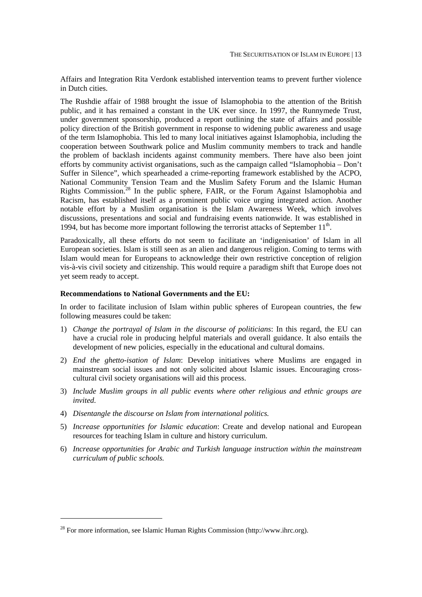Affairs and Integration Rita Verdonk established intervention teams to prevent further violence in Dutch cities.

The Rushdie affair of 1988 brought the issue of Islamophobia to the attention of the British public, and it has remained a constant in the UK ever since. In 1997, the Runnymede Trust, under government sponsorship, produced a report outlining the state of affairs and possible policy direction of the British government in response to widening public awareness and usage of the term Islamophobia. This led to many local initiatives against Islamophobia, including the cooperation between Southwark police and Muslim community members to track and handle the problem of backlash incidents against community members. There have also been joint efforts by community activist organisations, such as the campaign called "Islamophobia – Don't Suffer in Silence", which spearheaded a crime-reporting framework established by the ACPO, National Community Tension Team and the Muslim Safety Forum and the Islamic Human Rights Commission.28 In the public sphere, FAIR, or the Forum Against Islamophobia and Racism, has established itself as a prominent public voice urging integrated action. Another notable effort by a Muslim organisation is the Islam Awareness Week, which involves discussions, presentations and social and fundraising events nationwide. It was established in 1994, but has become more important following the terrorist attacks of September  $11<sup>th</sup>$ .

Paradoxically, all these efforts do not seem to facilitate an 'indigenisation' of Islam in all European societies. Islam is still seen as an alien and dangerous religion. Coming to terms with Islam would mean for Europeans to acknowledge their own restrictive conception of religion vis-à-vis civil society and citizenship. This would require a paradigm shift that Europe does not yet seem ready to accept.

#### **Recommendations to National Governments and the EU:**

In order to facilitate inclusion of Islam within public spheres of European countries, the few following measures could be taken:

- 1) *Change the portrayal of Islam in the discourse of politicians*: In this regard, the EU can have a crucial role in producing helpful materials and overall guidance. It also entails the development of new policies, especially in the educational and cultural domains.
- 2) *End the ghetto-isation of Islam*: Develop initiatives where Muslims are engaged in mainstream social issues and not only solicited about Islamic issues. Encouraging crosscultural civil society organisations will aid this process.
- 3) *Include Muslim groups in all public events where other religious and ethnic groups are invited.*
- 4) *Disentangle the discourse on Islam from international politics.*

- 5) *Increase opportunities for Islamic education*: Create and develop national and European resources for teaching Islam in culture and history curriculum.
- 6) *Increase opportunities for Arabic and Turkish language instruction within the mainstream curriculum of public schools.*

<sup>28</sup> For more information, see Islamic Human Rights Commission (http://www.ihrc.org).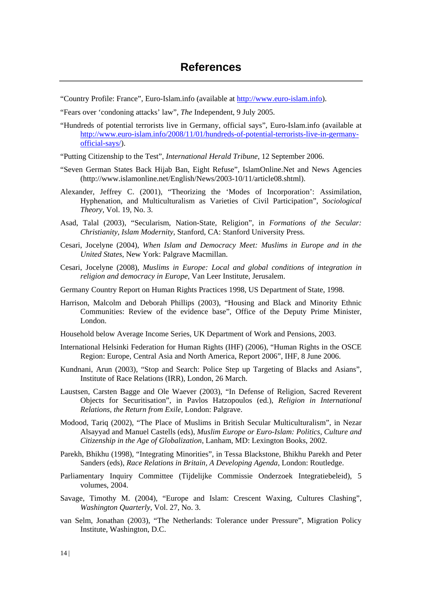"Country Profile: France", Euro-Islam.info (available at http://www.euro-islam.info).

"Fears over 'condoning attacks' law", *The* Independent, 9 July 2005.

"Hundreds of potential terrorists live in Germany, official says", Euro-Islam.info (available at http://www.euro-islam.info/2008/11/01/hundreds-of-potential-terrorists-live-in-germanyofficial-says/).

"Putting Citizenship to the Test", *International Herald Tribune*, 12 September 2006.

- "Seven German States Back Hijab Ban, Eight Refuse", IslamOnline.Net and News Agencies (http://www.islamonline.net/English/News/2003-10/11/article08.shtml).
- Alexander, Jeffrey C. (2001), "Theorizing the 'Modes of Incorporation': Assimilation, Hyphenation, and Multiculturalism as Varieties of Civil Participation", *Sociological Theory,* Vol. 19, No. 3.
- Asad, Talal (2003), "Secularism, Nation-State, Religion", in *Formations of the Secular: Christianity, Islam Modernity,* Stanford, CA: Stanford University Press.
- Cesari, Jocelyne (2004), *When Islam and Democracy Meet: Muslims in Europe and in the United States*, New York: Palgrave Macmillan.
- Cesari, Jocelyne (2008), *Muslims in Europe: Local and global conditions of integration in religion and democracy in Europe*, Van Leer Institute, Jerusalem.
- Germany Country Report on Human Rights Practices 1998, US Department of State, 1998.
- Harrison, Malcolm and Deborah Phillips (2003), "Housing and Black and Minority Ethnic Communities: Review of the evidence base", Office of the Deputy Prime Minister, London.
- Household below Average Income Series, UK Department of Work and Pensions, 2003.
- International Helsinki Federation for Human Rights (IHF) (2006), "Human Rights in the OSCE Region: Europe, Central Asia and North America, Report 2006", IHF, 8 June 2006.
- Kundnani, Arun (2003), "Stop and Search: Police Step up Targeting of Blacks and Asians", Institute of Race Relations (IRR), London, 26 March.
- Laustsen, Carsten Bagge and Ole Waever (2003), "In Defense of Religion, Sacred Reverent Objects for Securitisation", in Pavlos Hatzopoulos (ed.), *Religion in International Relations, the Return from Exile*, London: Palgrave.
- Modood, Tariq (2002), "The Place of Muslims in British Secular Multiculturalism", in Nezar Alsayyad and Manuel Castells (eds), *Muslim Europe or Euro-Islam: Politics, Culture and Citizenship in the Age of Globalization*, Lanham, MD: Lexington Books, 2002.
- Parekh, Bhikhu (1998), "Integrating Minorities", in Tessa Blackstone, Bhikhu Parekh and Peter Sanders (eds), *Race Relations in Britain, A Developing Agenda*, London: Routledge.
- Parliamentary Inquiry Committee (Tijdelijke Commissie Onderzoek Integratiebeleid), 5 volumes, 2004.
- Savage, Timothy M. (2004), "Europe and Islam: Crescent Waxing, Cultures Clashing", *Washington Quarterly*, Vol. 27, No. 3.
- van Selm, Jonathan (2003), "The Netherlands: Tolerance under Pressure", Migration Policy Institute, Washington, D.C.